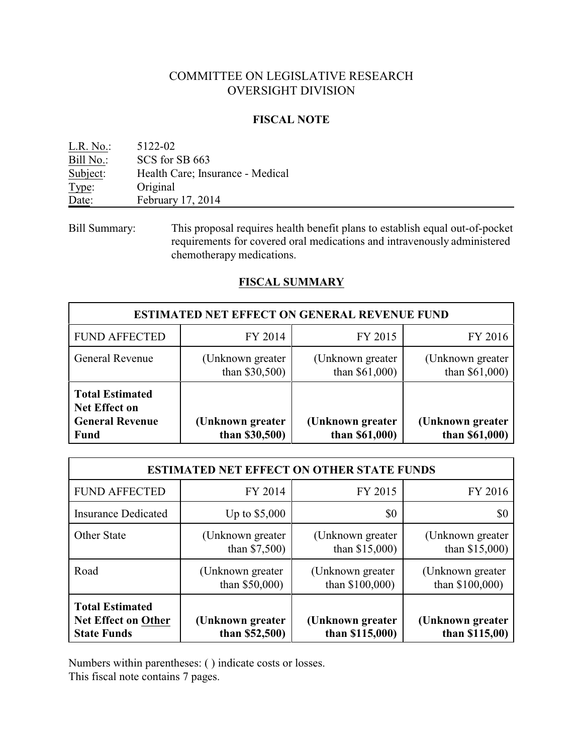# COMMITTEE ON LEGISLATIVE RESEARCH OVERSIGHT DIVISION

## **FISCAL NOTE**

| L.R. No.  | 5122-02                          |
|-----------|----------------------------------|
| Bill No.: | SCS for SB 663                   |
| Subject:  | Health Care; Insurance - Medical |
| Type:     | Original                         |
| Date:     | February 17, 2014                |
|           |                                  |

Bill Summary: This proposal requires health benefit plans to establish equal out-of-pocket requirements for covered oral medications and intravenously administered chemotherapy medications.

## **FISCAL SUMMARY**

| <b>ESTIMATED NET EFFECT ON GENERAL REVENUE FUND</b>                                     |                                       |                                     |                                       |  |  |
|-----------------------------------------------------------------------------------------|---------------------------------------|-------------------------------------|---------------------------------------|--|--|
| <b>FUND AFFECTED</b>                                                                    | FY 2014                               | FY 2015                             | FY 2016                               |  |  |
| General Revenue                                                                         | (Unknown greater)<br>than $$30,500$ ) | (Unknown greater)<br>than \$61,000) | (Unknown greater)<br>than $$61,000$ ) |  |  |
| <b>Total Estimated</b><br><b>Net Effect on</b><br><b>General Revenue</b><br><b>Fund</b> | (Unknown greater<br>than $$30,500$ )  | (Unknown greater<br>than \$61,000)  | (Unknown greater<br>than \$61,000)    |  |  |

| <b>ESTIMATED NET EFFECT ON OTHER STATE FUNDS</b>                           |                                       |                                       |                                       |  |  |
|----------------------------------------------------------------------------|---------------------------------------|---------------------------------------|---------------------------------------|--|--|
| <b>FUND AFFECTED</b>                                                       | FY 2014                               | FY 2015                               | FY 2016                               |  |  |
| <b>Insurance Dedicated</b>                                                 | Up to $$5,000$                        | \$0                                   | \$0                                   |  |  |
| <b>Other State</b>                                                         | (Unknown greater)<br>than $$7,500$ )  | (Unknown greater)<br>than $$15,000$ ) | (Unknown greater)<br>than $$15,000$ ) |  |  |
| Road                                                                       | (Unknown greater)<br>than $$50,000$ ) | (Unknown greater)<br>than \$100,000)  | (Unknown greater)<br>than \$100,000)  |  |  |
| <b>Total Estimated</b><br><b>Net Effect on Other</b><br><b>State Funds</b> | (Unknown greater<br>than $$52,500$ )  | (Unknown greater<br>than $$115,000$ ) | (Unknown greater<br>than $$115,00$ )  |  |  |

Numbers within parentheses: ( ) indicate costs or losses.

This fiscal note contains 7 pages.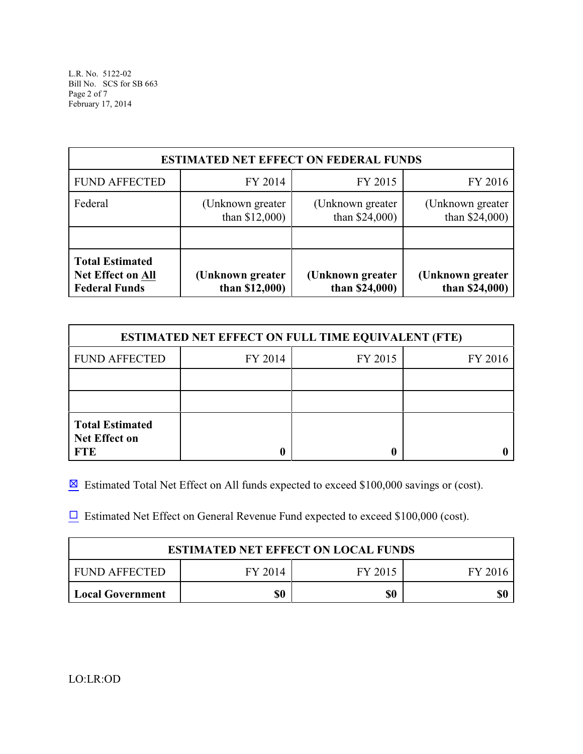L.R. No. 5122-02 Bill No. SCS for SB 663 Page 2 of 7 February 17, 2014

| <b>ESTIMATED NET EFFECT ON FEDERAL FUNDS</b>                               |                                       |                                       |                                       |  |  |
|----------------------------------------------------------------------------|---------------------------------------|---------------------------------------|---------------------------------------|--|--|
| <b>FUND AFFECTED</b>                                                       | FY 2014                               | FY 2015                               | FY 2016                               |  |  |
| Federal                                                                    | (Unknown greater)<br>than $$12,000$ ) | (Unknown greater)<br>than $$24,000$ ) | (Unknown greater)<br>than $$24,000$ ) |  |  |
|                                                                            |                                       |                                       |                                       |  |  |
| <b>Total Estimated</b><br><b>Net Effect on All</b><br><b>Federal Funds</b> | (Unknown greater<br>than $$12,000$ )  | (Unknown greater<br>than $$24,000$    | (Unknown greater<br>than \$24,000)    |  |  |

| <b>ESTIMATED NET EFFECT ON FULL TIME EQUIVALENT (FTE)</b>    |         |         |         |  |  |
|--------------------------------------------------------------|---------|---------|---------|--|--|
| <b>FUND AFFECTED</b>                                         | FY 2014 | FY 2015 | FY 2016 |  |  |
|                                                              |         |         |         |  |  |
|                                                              |         |         |         |  |  |
| <b>Total Estimated</b><br><b>Net Effect on</b><br><b>FTE</b> |         | 0       |         |  |  |

 $\boxtimes$  Estimated Total Net Effect on All funds expected to exceed \$100,000 savings or (cost).

 $\Box$  Estimated Net Effect on General Revenue Fund expected to exceed \$100,000 (cost).

| <b>ESTIMATED NET EFFECT ON LOCAL FUNDS</b> |         |         |         |  |
|--------------------------------------------|---------|---------|---------|--|
| <b>FUND AFFECTED</b>                       | FY 2014 | FY 2015 | FY 2016 |  |
| \$0<br>50<br>  Local Government            |         |         |         |  |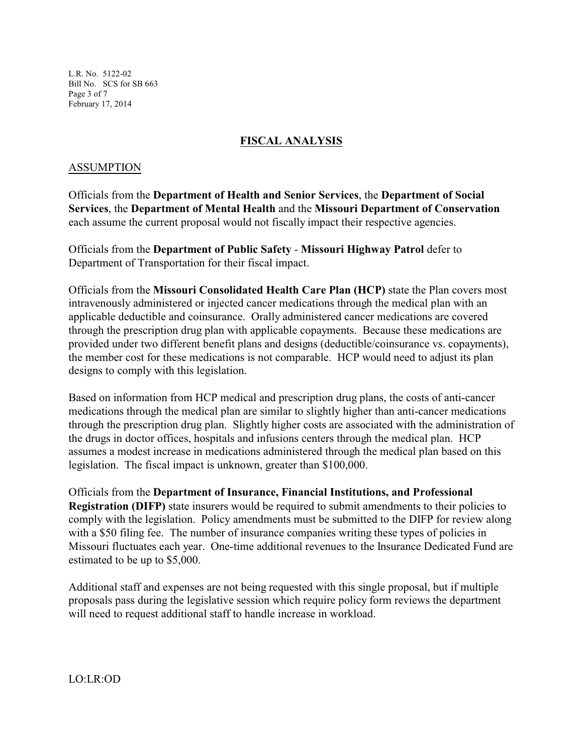L.R. No. 5122-02 Bill No. SCS for SB 663 Page 3 of 7 February 17, 2014

## **FISCAL ANALYSIS**

## ASSUMPTION

Officials from the **Department of Health and Senior Services**, the **Department of Social Services**, the **Department of Mental Health** and the **Missouri Department of Conservation** each assume the current proposal would not fiscally impact their respective agencies.

Officials from the **Department of Public Safety** - **Missouri Highway Patrol** defer to Department of Transportation for their fiscal impact.

Officials from the **Missouri Consolidated Health Care Plan (HCP)** state the Plan covers most intravenously administered or injected cancer medications through the medical plan with an applicable deductible and coinsurance. Orally administered cancer medications are covered through the prescription drug plan with applicable copayments. Because these medications are provided under two different benefit plans and designs (deductible/coinsurance vs. copayments), the member cost for these medications is not comparable. HCP would need to adjust its plan designs to comply with this legislation.

Based on information from HCP medical and prescription drug plans, the costs of anti-cancer medications through the medical plan are similar to slightly higher than anti-cancer medications through the prescription drug plan. Slightly higher costs are associated with the administration of the drugs in doctor offices, hospitals and infusions centers through the medical plan. HCP assumes a modest increase in medications administered through the medical plan based on this legislation. The fiscal impact is unknown, greater than \$100,000.

Officials from the **Department of Insurance, Financial Institutions, and Professional Registration (DIFP)** state insurers would be required to submit amendments to their policies to comply with the legislation. Policy amendments must be submitted to the DIFP for review along with a \$50 filing fee. The number of insurance companies writing these types of policies in Missouri fluctuates each year. One-time additional revenues to the Insurance Dedicated Fund are estimated to be up to \$5,000.

Additional staff and expenses are not being requested with this single proposal, but if multiple proposals pass during the legislative session which require policy form reviews the department will need to request additional staff to handle increase in workload.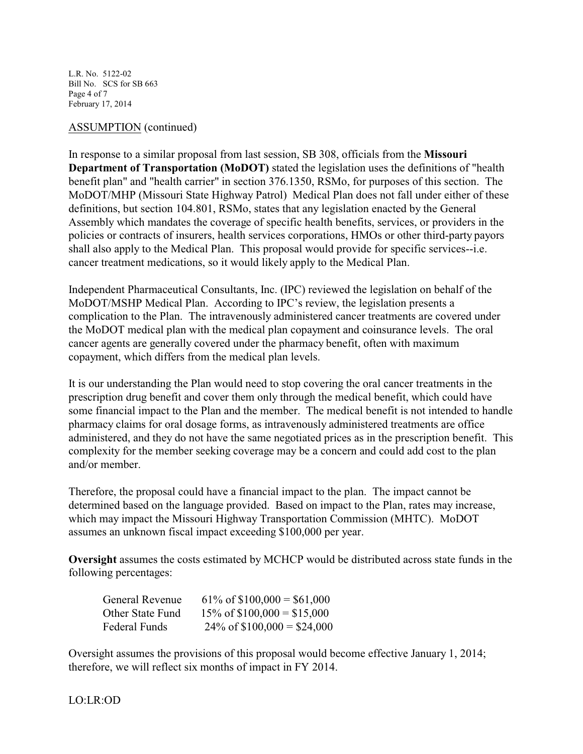L.R. No. 5122-02 Bill No. SCS for SB 663 Page 4 of 7 February 17, 2014

### ASSUMPTION (continued)

In response to a similar proposal from last session, SB 308, officials from the **Missouri Department of Transportation (MoDOT)** stated the legislation uses the definitions of "health benefit plan" and "health carrier" in section 376.1350, RSMo, for purposes of this section. The MoDOT/MHP (Missouri State Highway Patrol) Medical Plan does not fall under either of these definitions, but section 104.801, RSMo, states that any legislation enacted by the General Assembly which mandates the coverage of specific health benefits, services, or providers in the policies or contracts of insurers, health services corporations, HMOs or other third-party payors shall also apply to the Medical Plan. This proposal would provide for specific services--i.e. cancer treatment medications, so it would likely apply to the Medical Plan.

Independent Pharmaceutical Consultants, Inc. (IPC) reviewed the legislation on behalf of the MoDOT/MSHP Medical Plan. According to IPC's review, the legislation presents a complication to the Plan. The intravenously administered cancer treatments are covered under the MoDOT medical plan with the medical plan copayment and coinsurance levels. The oral cancer agents are generally covered under the pharmacy benefit, often with maximum copayment, which differs from the medical plan levels.

It is our understanding the Plan would need to stop covering the oral cancer treatments in the prescription drug benefit and cover them only through the medical benefit, which could have some financial impact to the Plan and the member. The medical benefit is not intended to handle pharmacy claims for oral dosage forms, as intravenously administered treatments are office administered, and they do not have the same negotiated prices as in the prescription benefit. This complexity for the member seeking coverage may be a concern and could add cost to the plan and/or member.

Therefore, the proposal could have a financial impact to the plan. The impact cannot be determined based on the language provided. Based on impact to the Plan, rates may increase, which may impact the Missouri Highway Transportation Commission (MHTC). MoDOT assumes an unknown fiscal impact exceeding \$100,000 per year.

**Oversight** assumes the costs estimated by MCHCP would be distributed across state funds in the following percentages:

| General Revenue  | $61\% \text{ of } $100,000 = $61,000$ |
|------------------|---------------------------------------|
| Other State Fund | $15\% \text{ of } $100,000 = $15,000$ |
| Federal Funds    | $24\% \text{ of } $100,000 = $24,000$ |

Oversight assumes the provisions of this proposal would become effective January 1, 2014; therefore, we will reflect six months of impact in FY 2014.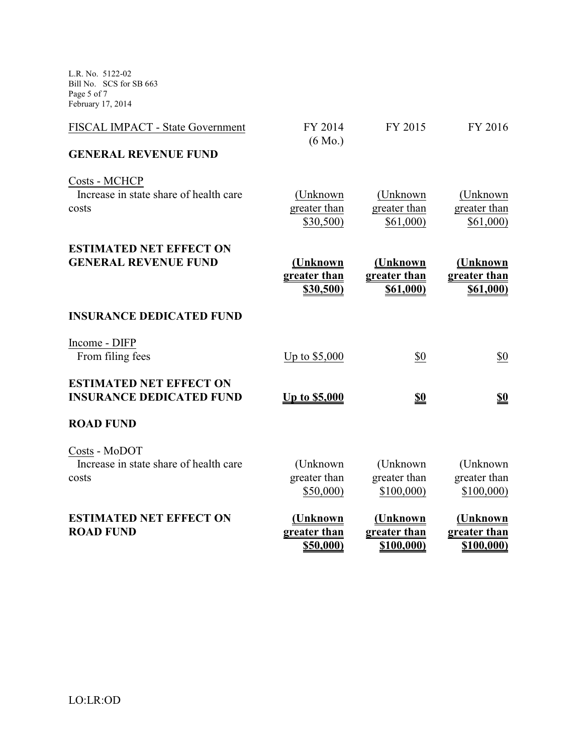L.R. No. 5122-02 Bill No. SCS for SB 663 Page 5 of 7 February 17, 2014

| FISCAL IMPACT - State Government<br><b>GENERAL REVENUE FUND</b>   | FY 2014<br>$(6 \text{ Mo.})$          | FY 2015                                      | FY 2016                                      |
|-------------------------------------------------------------------|---------------------------------------|----------------------------------------------|----------------------------------------------|
| Costs - MCHCP<br>Increase in state share of health care<br>costs  | (Unknown<br>greater than<br>\$30,500) | (Unknown<br>greater than<br>\$61,000         | (Unknown<br>greater than<br>\$61,000         |
| <b>ESTIMATED NET EFFECT ON</b><br><b>GENERAL REVENUE FUND</b>     | (Unknown<br>greater than<br>\$30,500) | (Unknown<br>greater than<br><u>\$61,000)</u> | (Unknown<br>greater than<br><b>\$61,000)</b> |
| <b>INSURANCE DEDICATED FUND</b>                                   |                                       |                                              |                                              |
| Income - DIFP<br>From filing fees                                 | Up to $$5,000$                        | \$0                                          | \$0                                          |
| <b>ESTIMATED NET EFFECT ON</b><br><b>INSURANCE DEDICATED FUND</b> | <u>Up to \$5,000</u>                  | <u>\$0</u>                                   | <u>\$0</u>                                   |
| <b>ROAD FUND</b>                                                  |                                       |                                              |                                              |
| Costs - MoDOT<br>Increase in state share of health care<br>costs  | (Unknown<br>greater than<br>\$50,000  | (Unknown<br>greater than<br>\$100,000        | (Unknown<br>greater than<br>\$100,000)       |
| <b>ESTIMATED NET EFFECT ON</b><br><b>ROAD FUND</b>                | (Unknown<br>greater than<br>\$50,000) | (Unknown<br>greater than<br>\$100,000)       | (Unknown<br>greater than<br>\$100,000)       |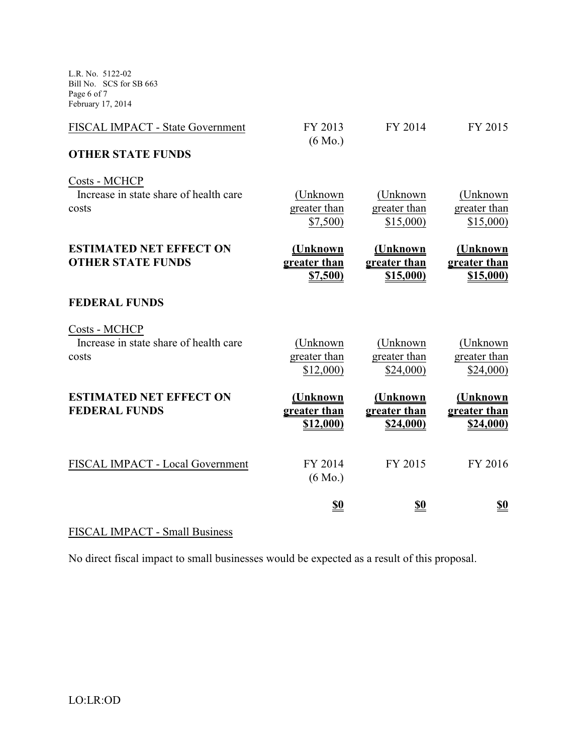L.R. No. 5122-02 Bill No. SCS for SB 663 Page 6 of 7 February 17, 2014

| FISCAL IMPACT - State Government                                 | FY 2013<br>$(6 \text{ Mo.})$          | FY 2014                               | FY 2015                                      |
|------------------------------------------------------------------|---------------------------------------|---------------------------------------|----------------------------------------------|
| <b>OTHER STATE FUNDS</b>                                         |                                       |                                       |                                              |
| Costs - MCHCP<br>Increase in state share of health care<br>costs | (Unknown<br>greater than<br>\$7,500   | (Unknown<br>greater than<br>\$15,000  | (Unknown)<br>greater than<br>\$15,000        |
| <b>ESTIMATED NET EFFECT ON</b><br><b>OTHER STATE FUNDS</b>       | (Unknown<br>greater than<br>\$7,500   | (Unknown<br>greater than<br>\$15,000) | <u>(Unknown</u><br>greater than<br>\$15,000) |
| <b>FEDERAL FUNDS</b>                                             |                                       |                                       |                                              |
| Costs - MCHCP<br>Increase in state share of health care<br>costs | (Unknown)<br>greater than<br>\$12,000 | (Unknown<br>greater than<br>\$24,000  | (Unknown<br>greater than<br>\$24,000         |
| <b>ESTIMATED NET EFFECT ON</b><br><b>FEDERAL FUNDS</b>           | (Unknown<br>greater than<br>\$12,000) | (Unknown<br>greater than<br>\$24,000) | (Unknown<br>greater than<br>\$24,000)        |
| FISCAL IMPACT - Local Government                                 | FY 2014<br>$(6 \text{ Mo.})$          | FY 2015                               | FY 2016                                      |
|                                                                  | <u>\$0</u>                            | <u>\$0</u>                            | <u>\$0</u>                                   |

# FISCAL IMPACT - Small Business

No direct fiscal impact to small businesses would be expected as a result of this proposal.